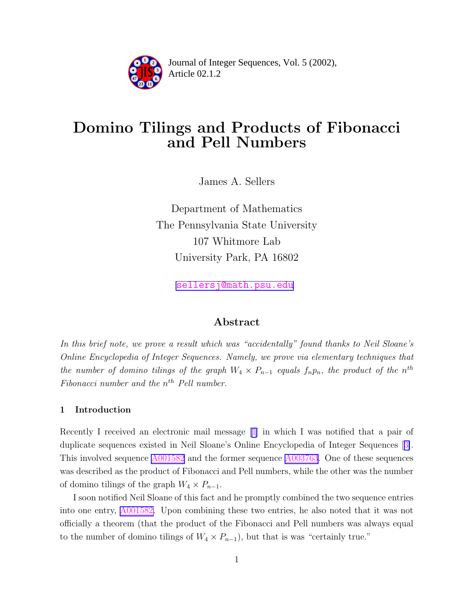

Article 02.1.2 **<sup>2</sup>** Journal of Integer Sequences, Vol. 5 (2002),

# Domino Tilings and Products of Fibonacci and Pell Numbers

James A. Sellers

Department of Mathematics The Pennsylvania State University 107 Whitmore Lab University Park, PA 16802

[sellersj@math.psu.edu](mailto:sellersj@math.psu.edu)

# Abstract

In this brief note, we prove a result which was "accidentally" found thanks to Neil Sloane's Online Encyclopedia of Integer Sequences. Namely, we prove via elementary techniques that the number of domino tilings of the graph  $W_4 \times P_{n-1}$  equals  $f_n p_n$ , the product of the  $n^{th}$ Fibonacci number and the  $n<sup>th</sup>$  Pell number.

### 1 Introduction

Recently I received an electronic mail message [\[1\]](#page-5-0) in which I was notified that a pair of duplicate sequences existed in Neil Sloane's Online Encyclopedia of Integer Sequences [[3\]](#page-5-0). This involved sequence [A001582](http://www.research.att.com/cgi-bin/access.cgi/as/njas/sequences/eisA.cgi?Anum=A001582) and the former sequence [A003763.](http://www.research.att.com/cgi-bin/access.cgi/as/njas/sequences/eisA.cgi?Anum=A003763) One of these sequences was described as the product of Fibonacci and Pell numbers, while the other was the number of domino tilings of the graph  $W_4 \times P_{n-1}$ .

I soon notified Neil Sloane of this fact and he promptly combined the two sequence entries into one entry, [A001582.](http://www.research.att.com/cgi-bin/access.cgi/as/njas/sequences/eisA.cgi?Anum=A001582) Upon combining these two entries, he also noted that it was not officially a theorem (that the product of the Fibonacci and Pell numbers was always equal to the number of domino tilings of  $W_4 \times P_{n-1}$ , but that is was "certainly true."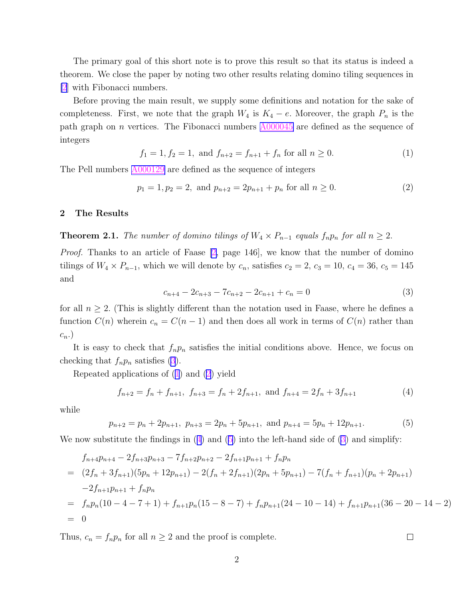<span id="page-1-0"></span>The primary goal of this short note is to prove this result so that its status is indeed a theorem. We close the paper by noting two other results relating domino tiling sequences in [\[2](#page-5-0)] with Fibonacci numbers.

Before proving the main result, we supply some definitions and notation for the sake of completeness. First, we note that the graph  $W_4$  is  $K_4 - e$ . Moreover, the graph  $P_n$  is the path graph on *n* vertices. The Fibonacci numbers  $\frac{\text{A000045}}{\text{A000045}}$  $\frac{\text{A000045}}{\text{A000045}}$  $\frac{\text{A000045}}{\text{A000045}}$  are defined as the sequence of integers

$$
f_1 = 1, f_2 = 1, \text{ and } f_{n+2} = f_{n+1} + f_n \text{ for all } n \ge 0.
$$
 (1)

The Pell numbers  $\triangle 000129$  are defined as the sequence of integers

$$
p_1 = 1, p_2 = 2, \text{ and } p_{n+2} = 2p_{n+1} + p_n \text{ for all } n \ge 0.
$$
 (2)

#### 2 The Results

**Theorem 2.1.** The number of domino tilings of  $W_4 \times P_{n-1}$  equals  $f_n p_n$  for all  $n \geq 2$ .

Proof. Thanks to an article of Faase [\[2,](#page-5-0) page 146], we know that the number of domino tilings of  $W_4 \times P_{n-1}$ , which we will denote by  $c_n$ , satisfies  $c_2 = 2$ ,  $c_3 = 10$ ,  $c_4 = 36$ ,  $c_5 = 145$ and

$$
c_{n+4} - 2c_{n+3} - 7c_{n+2} - 2c_{n+1} + c_n = 0
$$
\n(3)

for all  $n \geq 2$ . (This is slightly different than the notation used in Faase, where he defines a function  $C(n)$  wherein  $c_n = C(n-1)$  and then does all work in terms of  $C(n)$  rather than  $c_n.$ )

It is easy to check that  $f_n p_n$  satisfies the initial conditions above. Hence, we focus on checking that  $f_np_n$  satisfies (3).

Repeated applications of (1) and (2) yield

$$
f_{n+2} = f_n + f_{n+1}, \ f_{n+3} = f_n + 2f_{n+1}, \text{ and } f_{n+4} = 2f_n + 3f_{n+1}
$$
 (4)

while

$$
p_{n+2} = p_n + 2p_{n+1}, \ p_{n+3} = 2p_n + 5p_{n+1}, \text{ and } p_{n+4} = 5p_n + 12p_{n+1}.
$$
 (5)

We now substitute the findings in  $(4)$  and  $(5)$  into the left-hand side of  $(3)$  and simplify:

$$
f_{n+4}p_{n+4} - 2f_{n+3}p_{n+3} - 7f_{n+2}p_{n+2} - 2f_{n+1}p_{n+1} + f_n p_n
$$
  
=  $(2f_n + 3f_{n+1})(5p_n + 12p_{n+1}) - 2(f_n + 2f_{n+1})(2p_n + 5p_{n+1}) - 7(f_n + f_{n+1})(p_n + 2p_{n+1})$   
 $-2f_{n+1}p_{n+1} + f_n p_n$   
=  $f_n p_n(10 - 4 - 7 + 1) + f_{n+1}p_n(15 - 8 - 7) + f_n p_{n+1}(24 - 10 - 14) + f_{n+1}p_{n+1}(36 - 20 - 14 - 2)$   
= 0

Thus,  $c_n = f_n p_n$  for all  $n \geq 2$  and the proof is complete.

 $\Box$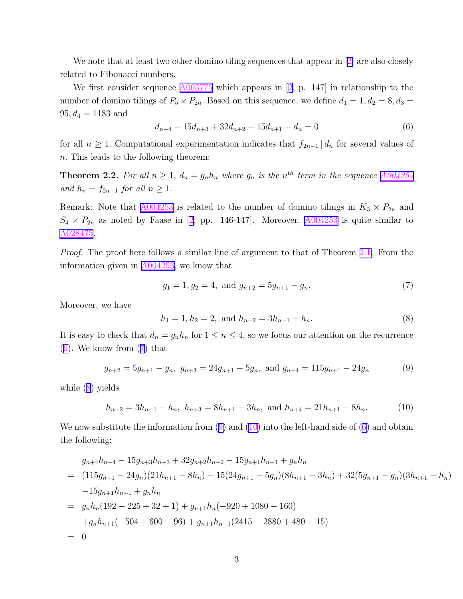We note that at least two other domino tiling sequences that appear in [[2\]](#page-5-0) are also closely related to Fibonacci numbers.

We first consider sequence  $\triangle 003775$  which appears in [[2](#page-5-0), p. 147] in relationship to the number of domino tilings of  $P_5 \times P_{2n}$ . Based on this sequence, we define  $d_1 = 1, d_2 = 8, d_3 =$  $95, d_4 = 1183$  and

$$
d_{n+4} - 15d_{n+3} + 32d_{n+2} - 15d_{n+1} + d_n = 0
$$
\n<sup>(6)</sup>

for all  $n \geq 1$ . Computational experimentation indicates that  $f_{2n-1} \mid d_n$  for several values of n. This leads to the following theorem:

**Theorem 2.2.** For all  $n \geq 1$ ,  $d_n = g_n h_n$  where  $g_n$  is the  $n^{th}$  term in the sequence  $A004255$ and  $h_n = f_{2n-1}$  for all  $n \geq 1$ .

Remark: Note that  $\underline{\text{A}004253}$  is related to the number of domino tilings in  $K_3 \times P_{2n}$  and  $S_4 \times P_{2n}$  as noted by Faase in [\[2](#page-5-0), pp. 146-147]. Moreover,  $\triangle 0.04253$  is quite similar to [A028475](http://www.research.att.com/cgi-bin/access.cgi/as/njas/sequences/eisA.cgi?Anum=A028475).

Proof. The proof here follows a similar line of argument to that of Theorem [2.1.](#page-1-0) From the information given in [A004253,](http://www.research.att.com/cgi-bin/access.cgi/as/njas/sequences/eisA.cgi?Anum=A004253) we know that

$$
g_1 = 1, g_2 = 4, \text{ and } g_{n+2} = 5g_{n+1} - g_n. \tag{7}
$$

Moreover, we have

$$
h_1 = 1, h_2 = 2, \text{ and } h_{n+2} = 3h_{n+1} - h_n. \tag{8}
$$

It is easy to check that  $d_n = g_n h_n$  for  $1 \le n \le 4$ , so we focus our attention on the recurrence  $(6)$ . We know from  $(7)$  that

$$
g_{n+2} = 5g_{n+1} - g_n, \ g_{n+3} = 24g_{n+1} - 5g_n, \text{ and } g_{n+4} = 115g_{n+1} - 24g_n \tag{9}
$$

while (8) yields

$$
h_{n+2} = 3h_{n+1} - h_n, \ h_{n+3} = 8h_{n+1} - 3h_n, \text{ and } h_{n+4} = 21h_{n+1} - 8h_n. \tag{10}
$$

We now substitute the information from  $(9)$  and  $(10)$  into the left-hand side of  $(6)$  and obtain the following:

$$
g_{n+4}h_{n+4} - 15g_{n+3}h_{n+3} + 32g_{n+2}h_{n+2} - 15g_{n+1}h_{n+1} + g_nh_n
$$
  
=  $(115g_{n+1} - 24g_n)(21h_{n+1} - 8h_n) - 15(24g_{n+1} - 5g_n)(8h_{n+1} - 3h_n) + 32(5g_{n+1} - g_n)(3h_{n+1} - h_n)$   
 $-15g_{n+1}h_{n+1} + g_nh_n$   
=  $g_n h_n(192 - 225 + 32 + 1) + g_{n+1}h_n(-920 + 1080 - 160)$   
 $+g_n h_{n+1}(-504 + 600 - 96) + g_{n+1}h_{n+1}(2415 - 2880 + 480 - 15)$   
= 0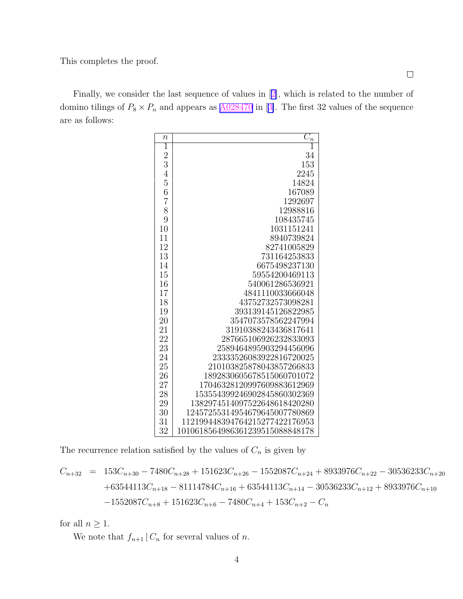This completes the proof.

Finally, we consider the last sequence of values in [[2\]](#page-5-0), which is related to the number of domino tilings of  $P_8 \times P_n$  and appears as  $\underline{\text{A}028470}$  in [[3\]](#page-5-0). The first 32 values of the sequence are as follows:

| $\boldsymbol{n}$ | $C_n$                           |
|------------------|---------------------------------|
| 1                |                                 |
| $\overline{2}$   | 34                              |
| 3                | 153                             |
| $\overline{4}$   | 2245                            |
| 5                | 14824                           |
| 6                | 167089                          |
| $\overline{7}$   | 1292697                         |
| 8                | 12988816                        |
| 9                | 108435745                       |
| 10               | 1031151241                      |
| 11               | 8940739824                      |
| 12               | 82741005829                     |
| 13               | 731164253833                    |
| 14               | 6675498237130                   |
| 15               | 59554200469113                  |
| 16               | 540061286536921                 |
| 17               | 4841110033666048                |
| 18               | 43752732573098281               |
| 19               | 393139145126822985              |
| 20               | 3547073578562247994             |
| 21               | 31910388243436817641            |
| 22               | 287665106926232833093           |
| 23               | 2589464895903294456096          |
| 24               | 23333526083922816720025         |
| 25               | 210103825878043857266833        |
| 26               | 1892830605678515060701072       |
| 27               | 17046328120997609883612969      |
| 28               | 153554399246902845860302369     |
| 29               | 1382974514097522648618420280    |
| 30               | 12457255314954679645007780869   |
| 31               | 112199448394764215277422176953  |
| 32               | 1010618564986361239515088848178 |

The recurrence relation satisfied by the values of  $C_n$  is given by

$$
C_{n+32} = 153C_{n+30} - 7480C_{n+28} + 151623C_{n+26} - 1552087C_{n+24} + 8933976C_{n+22} - 30536233C_{n+20}
$$
  
+63544113C<sub>n+18</sub> - 81114784C<sub>n+16</sub> + 63544113C<sub>n+14</sub> - 30536233C<sub>n+12</sub> + 8933976C<sub>n+10</sub>  
-1552087C<sub>n+8</sub> + 151623C<sub>n+6</sub> - 7480C<sub>n+4</sub> + 153C<sub>n+2</sub> - C<sub>n</sub>

for all  $n \geq 1$ .

We note that  $f_{n+1} | C_n$  for several values of n.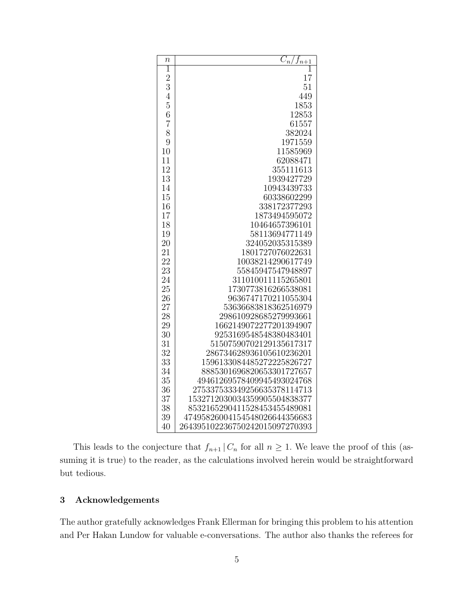| $\boldsymbol{n}$ | $C_n$<br>$J_{n+1}$             |
|------------------|--------------------------------|
| 1                |                                |
| $\overline{2}$   | 17                             |
| 3                | 51                             |
| $\overline{4}$   | 449                            |
| 5                | 1853                           |
| 6                | 12853                          |
| $\overline{7}$   | 61557                          |
| 8                | 382024                         |
| 9                | 1971559                        |
| 10               | 11585969                       |
| 11               | 62088471                       |
| 12               | 355111613                      |
| 13               | 1939427729                     |
| 14               | 10943439733                    |
| 15               | 60338602299                    |
| 16               | 338172377293                   |
| 17               | 1873494595072                  |
| 18               | 10464657396101                 |
| 19               | 58113694771149                 |
| 20               | 324052035315389                |
| 21               | 1801727076022631               |
| 22               | 10038214290617749              |
| 23               | 55845947547948897              |
| 24               | 311010011115265801             |
| 25               | 1730773816266538081            |
| 26               | 9636747170211055304            |
| 27               | 53636683818362516979           |
| 28               | 298610928685279993661          |
| 29               | 1662149072277201394907         |
| 30               | 9253169548548380483401         |
| 31               | 51507590702129135617317        |
| 32               | 286734628936105610236201       |
| 33               | 1596133084485272225826727      |
| 34               | 8885301696820653301727657      |
| 35               | 49461269578409945493024768     |
| 36               | 275337533349256635378114713    |
| 37               | 1532712030034359905504838377   |
| 38               | 8532165290411528453455489081   |
| 39               | 47495826004154548026644356683  |
| 40               | 264395102236750242015097270393 |

This leads to the conjecture that  $f_{n+1} | C_n$  for all  $n \geq 1$ . We leave the proof of this (assuming it is true) to the reader, as the calculations involved herein would be straightforward but tedious.

## Acknowledgements

The author gratefully acknowledges Frank Ellerman for bringing this problem to his attention and Per Hakan Lundow for valuable e-conversations. The author also thanks the referees for